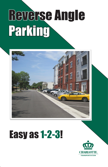# Reverse Angle Parking



# Easy as 1-2-3!

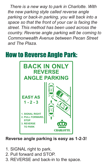*There is a new way to park in Charlotte. With the new parking style called reverse angle parking or back-in parking, you will back into a space so that the front of your car is facing the street. This method has been used across the country. Reverse angle parking will be coming to Commonwealth Avenue between Pecan Street and The Plaza.*

### How to Reverse Angle Park:



**Reverse angle parking is easy as 1-2-3!**

- 1. SIGNAL right to park.
- 2. Pull forward and STOP.
- 3. REVERSE and back-in to the space.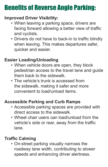## Benefits of Reverse Angle Parking:

#### **Improved Driver Visibility:**

- When leaving a parking space, drivers are facing forward allowing a better view of traffic and cyclists.
- • Drivers do not have to back-in to traffic blindly when leaving. This makes departures safer, quicker and easier.

#### **Easier Loading/Unloading**

- When vehicle doors are open, they block pedestrian access to the travel lane and guide them back to the sidewalk.
- The vehicle's trunk is accessed from the sidewalk, making it safer and more convenient to load/unload items.

#### **Accessible Parking and Curb Ramps**

- Accessible parking spaces are provided with direct access to the sidewalk.
- Wheel chair users can load/unload from the vehicle's side or rear, away from the traffic lane.

#### **Traffic Calming**

• On-street parking visually narrows the roadway lane width, contributing to slower speeds and enhancing driver alertness.